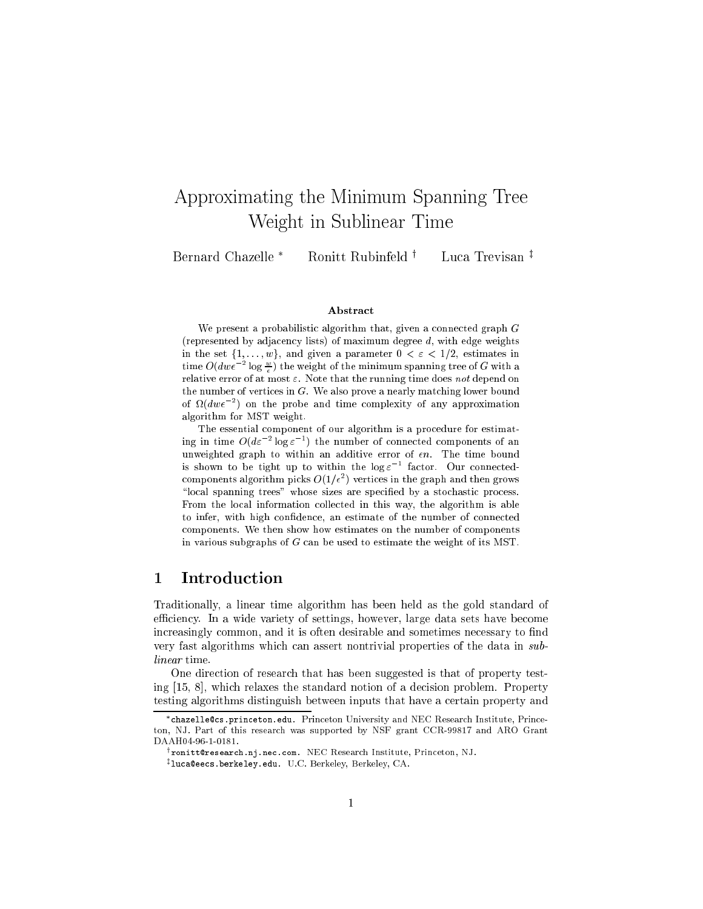# Approximating the Minimum Spanning Tree Weight in Sublinear Time

Bernard Chazelle \* Ronitt Rubinfeld <sup>†</sup>

Luca Trevisan<sup>‡</sup>

### Abstra
t

We present a probabilistic algorithm that, given a connected graph  $G$ (represented by adjacency lists) of maximum degree  $d$ , with edge weights in the set  $\{1, \ldots, w\}$ , and given a parameter  $0 < \varepsilon < 1/2$ , estimates in time  $O(aw\epsilon^{-1}$  log  $\rightleftarrows$ ) the weight of the minimum spanning tree of G with a relative error of at most  $\varepsilon$ . Note that the running time does not depend on the number of vertices in  $G$ . We also prove a nearly matching lower bound of  $\Omega(uw\epsilon$  ) on the probe and time complexity of any approximation algorithm for MST weight.

The essential component of our algorithm is a procedure for estimating in time  $O(a \varepsilon^{-1} \log \varepsilon^{-1})$  the number of connected components of an unweighted graph to within an additive error of  $\epsilon n$ . The time bound is shown to be tight up to within the log  $\varepsilon$  -factor. Our connectedcomponents algorithm picks  $O(1/\epsilon^-)$  vertices in the graph and then grows "local spanning trees" whose sizes are specified by a stochastic process. From the local information collected in this way, the algorithm is able to infer, with high confidence, an estimate of the number of connected omponents. We then show how estimates on the number of omponents in various subgraphs of  $G$  can be used to estimate the weight of its MST.

#### 1 1 Introdu
tion

Traditionally, a linear time algorithm has been held as the gold standard of efficiency. In a wide variety of settings, however, large data sets have become increasingly common, and it is often desirable and sometimes necessary to find very fast algorithms which can assert nontrivial properties of the data in sublinear time.

One dire
tion of resear
h that has been suggested is that of property testing  $[15, 8]$ , which relaxes the standard notion of a decision problem. Property testing algorithms distinguish between inputs that have a ertain property and

enazelle cs.princeton.edu. Princeton University and NEC Research Institute, Princeton, NJ. Part of this resear
h was supported by NSF grant CCR-99817 and ARO Grant DAAH04-96-1-0181.

<sup>&#</sup>x27;ronittwresearch n<sub>1</sub> nec.com. NEC Research Institute, Princeton, NJ.

 $\,$  -lucaeeecs berkeley edu. U.C. Berkeley, Berkeley, CA.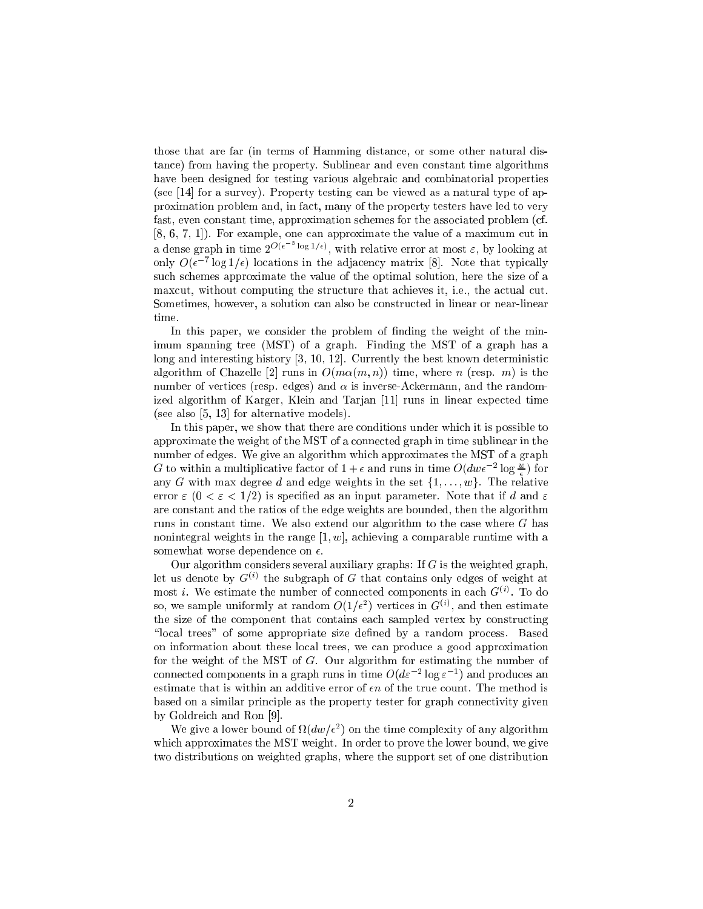those that are far (in terms of Hamming distan
e, or some other natural distance) from having the property. Sublinear and even constant time algorithms have been designed for testing various algebraic and combinatorial properties (see  $[14]$  for a survey). Property testing can be viewed as a natural type of approximation problem and, in fa
t, many of the property testers have led to very fast, even constant time, approximation schemes for the associated problem (cf.  $[8, 6, 7, 1]$ . For example, one can approximate the value of a maximum cut in a dense graph in time  $2^{\mathcal{O}(\epsilon_1-\log 1/\epsilon)}$ , with relative error at most  $\epsilon$ , by looking at only  $O(\epsilon^{-7} \log 1/\epsilon)$  locations in the adjacency matrix [8]. Note that typically su
h s
hemes approximate the value of the optimal solution, here the size of a maxcut, without computing the structure that achieves it, i.e., the actual cut. Sometimes, however, a solution can also be constructed in linear or near-linear time.

In this paper, we consider the problem of finding the weight of the minimum spanning tree (MST) of a graph. Finding the MST of a graph has a long and interesting history  $[3, 10, 12]$ . Currently the best known deterministic algorithm of Chazelle [2] runs in  $O(m\alpha(m, n))$  time, where n (resp. m) is the number of vertices (resp. edges) and  $\alpha$  is inverse-Ackermann, and the randomized algorithm of Karger, Klein and Tarjan [11] runs in linear expected time (see also  $[5, 13]$  for alternative models).

In this paper, we show that there are conditions under which it is possible to approximate the weight of the MST of a onne
ted graph in time sublinear in the number of edges. We give an algorithm whi
h approximates the MST of a graph G to within a multiplicative factor of  $1 + \epsilon$  and runs in time  $O(dw\epsilon^{-2} \log \frac{w}{\epsilon})$  for any G with max degree d and edge weights in the set  $\{1, \ldots, w\}$ . The relative error  $\varepsilon$   $(0 < \varepsilon < 1/2)$  is specified as an input parameter. Note that if d and  $\varepsilon$ are onstant and the ratios of the edge weights are bounded, then the algorithm runs in constant time. We also extend our algorithm to the case where  $G$  has nonintegral weights in the range  $[1, w]$ , achieving a comparable runtime with a somewhat worse dependence on  $\epsilon$ .

Our algorithm considers several auxiliary graphs: If  $G$  is the weighted graph, let us denote by  $G^{(i)}$  the subgraph of G that contains only edges of weight at most *i*. We estimate the number of connected components in each  $G^{(i)}$ . To do so, we sample uniformly at random  $O(1/\epsilon^2)$  vertices in  $G^{(i)}$ , and then estimate the size of the component that contains each sampled vertex by constructing "local trees" of some appropriate size defined by a random process. Based on information about these lo
al trees, we an produ
e a good approximation for the weight of the MST of G. Our algorithm for estimating the number of connected components in a graph runs in time  $O(d\varepsilon^{-2} \log \varepsilon^{-1})$  and produces an estimate that is within an additive error of  $\epsilon n$  of the true count. The method is based on a similar principle as the property tester for graph connectivity given by Goldreich and Ron [9].

We give a lower bound of  $\Omega(dw/\epsilon^2)$  on the time complexity of any algorithm which approximates the MST weight. In order to prove the lower bound, we give two distributions on weighted graphs, where the support set of one distribution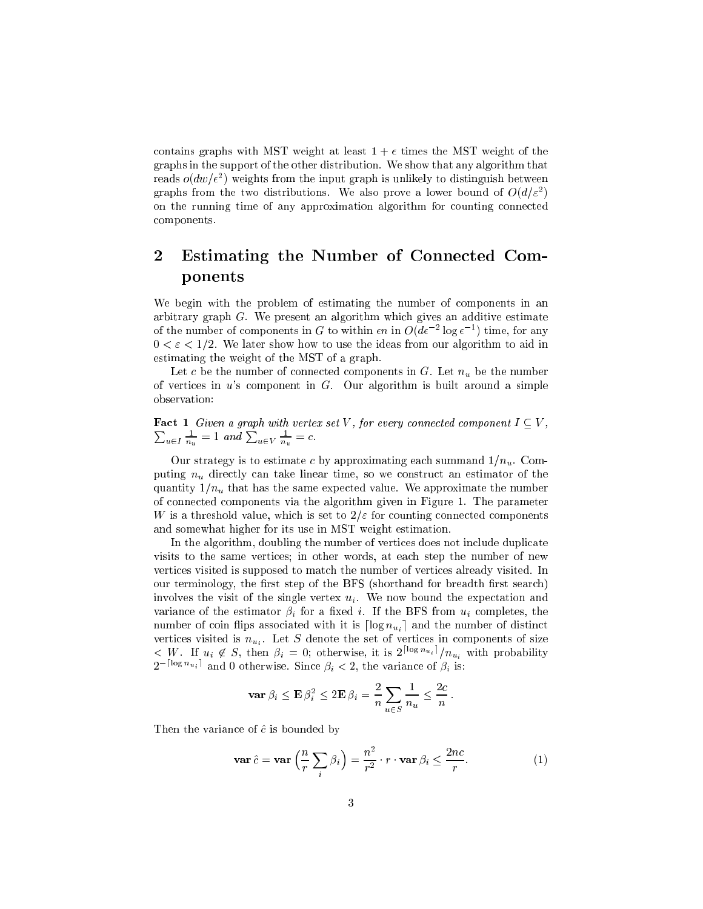contains graphs with MST weight at least  $1 + \epsilon$  times the MST weight of the graphs in the support of the other distribution. We show that any algorithm that reads  $o(dw/\epsilon^2)$  weights from the input graph is unlikely to distinguish between graphs from the two distributions. We also prove a lower bound of  $O(d/\varepsilon^2)$ on the running time of any approximation algorithm for counting connected omponents.

### $\overline{2}$ Estimating the Number of Connected Components

We begin with the problem of estimating the number of components in an arbitrary graph G. We present an algorithm whi
h gives an additive estimate of the number of components in G to within  $\epsilon n$  in  $O(d\epsilon^{-2} \log \epsilon^{-1})$  time, for any  $0 < \varepsilon < 1/2$ . We later show how to use the ideas from our algorithm to aid in estimating the weight of the MST of a graph.

Let c be the number of connected components in  $G$ . Let  $n_u$  be the number of verti
es in <sup>u</sup>'s omponent in G. Our algorithm is built around a simple observation:

**Fact 1** Given a graph with vertex set V, for every connected component  $I \subseteq V$ ,  $u \in I_{nu}$  = 1 and  $\sum_{u \in V} \frac{1}{n_u} = c$ .

Our strategy is to estimate c by approximating each summand  $1/n_u$ . Computing  $n_u$  directly can take linear time, so we construct an estimator of the quantity  $1/n_u$  that has the same expected value. We approximate the number of onne
ted omponents via the algorithm given in Figure 1. The parameter W is a threshold value, which is set to  $2/\varepsilon$  for counting connected components and somewhat higher for its use in MST weight estimation.

In the algorithm, doubling the number of vertices does not include duplicate visits to the same vertices; in other words, at each step the number of new vertices visited is supposed to match the number of vertices already visited. In our terminology, the first step of the BFS (shorthand for breadth first search) involves the visit of the single vertex  $u_i$ . We now bound the expectation and variance of the estimator  $\beta_i$  for a fixed i. If the BFS from  $u_i$  completes, the number of coin flips associated with it is  $\lceil \log n_{u_i} \rceil$  and the number of distinct vertices visited is  $n_{u_i}$ . Let S denote the set of vertices in components of size  $\langle W_{\cdot}\rangle$  If  $u_i \notin S$ , then  $\beta_i = 0$ ; otherwise, it is  $2^{\lfloor \log n_{u_i} \rfloor}/n_{u_i}$  with probability  $2^{-|\log n_{u_i}|}$  and 0 otherwise. Since  $\beta_i < 2$ , the variance of  $\beta_i$  is:

$$
\mathop{\bf var} \beta_i \leq {\bf E} \, \beta_i^2 \leq 2 {\bf E} \, \beta_i = \frac{2}{n} \sum_{u \in S} \frac{1}{n_u} \leq \frac{2c}{n}.
$$

Then the variance of  $\hat{c}$  is bounded by

$$
\mathbf{var}\,\hat{c} = \mathbf{var}\left(\frac{n}{r}\sum_{i}\beta_{i}\right) = \frac{n^{2}}{r^{2}} \cdot r \cdot \mathbf{var}\,\beta_{i} \le \frac{2nc}{r}.\tag{1}
$$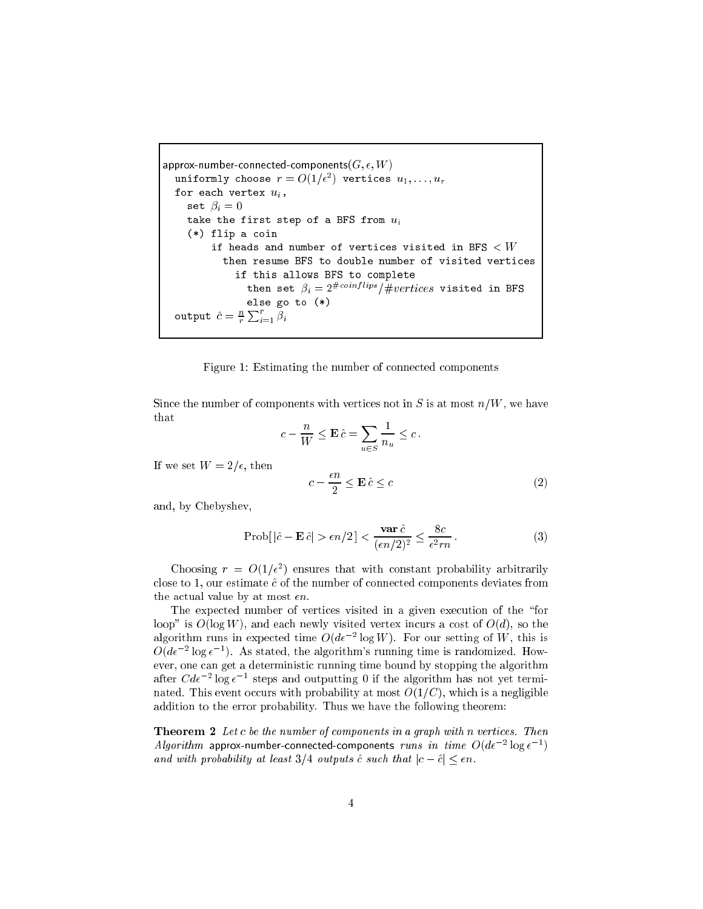approx-number-connected-components  $(G, \epsilon, W)$ uniformly choose  $r=O(1/\epsilon^2)$  vertices  $u_1,\ldots,u_r$ for each vertex  $u_i$ , set  $\beta_i = 0$ take the first step of a BFS from  $u_i$ (\*) flip <sup>a</sup> oin if heads and number of vertices visited in BFS  $<$   $W$ then resume BFS to double number of visited verti
es if this allows BFS to omplete then set  $\beta_i = 2^{\#coinflips}/\#vertices$  visited in BFS else go to (\*) output  $\hat{c} = \frac{n}{r}\sum_{i=1}^r \beta_i$ 

Figure 1: Estimating the number of connected components

Since the number of components with vertices not in S is at most  $n/W$ , we have that

$$
c - \frac{n}{W} \le \mathbf{E} \,\hat{c} = \sum_{u \in S} \frac{1}{n_u} \le c \,.
$$

If we set  $W = 2/\epsilon$ , then

$$
c - \frac{\epsilon n}{2} \le \mathbf{E} \,\hat{c} \le c \tag{2}
$$

and, by Chebyshev,

$$
\text{Prob}[\left|\hat{c} - \mathbf{E}\,\hat{c}\right| > \epsilon n/2] < \frac{\mathbf{var}\,\hat{c}}{(\epsilon n/2)^2} \le \frac{8c}{\epsilon^2 rn} \,. \tag{3}
$$

Choosing  $r = O(1/\epsilon^2)$  ensures that with constant probability arbitrarily close to 1, our estimate  $\hat{c}$  of the number of connected components deviates from the actual value by at most  $\epsilon n$ .

The expected number of vertices visited in a given execution of the "for loop" is  $O(\log W)$ , and each newly visited vertex incurs a cost of  $O(d)$ , so the algorithm runs in expected time  $O(d\epsilon^{-2} \log W)$ . For our setting of W, this is  $O(d\epsilon^{-2} \log \epsilon^{-1})$ . As stated, the algorithm's running time is randomized. However, one can get a deterministic running time bound by stopping the algorithm after  $C d \epsilon^{-2} \log \epsilon^{-1}$  steps and outputting 0 if the algorithm has not yet terminated. This event occurs with probability at most  $O(1/C)$ , which is a negligible addition to the error probability. Thus we have the following theorem:

**Theorem 2** Let  $c$  be the number of components in a graph with n vertices. Then Algorithm approx-number-connected-components runs in time  $O(d\epsilon^{-2} \log \epsilon^{-1})$ and with probability at least 3/4 outputs  $\hat{c}$  such that  $|c - \hat{c}| \leq \epsilon n$ .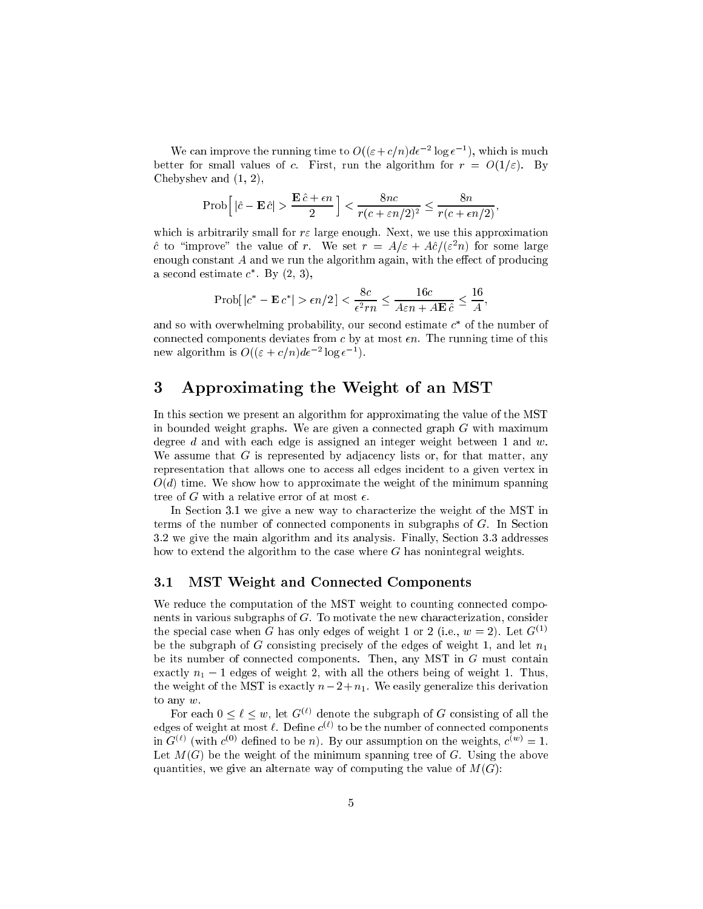We can improve the running time to  $O((\varepsilon+c/n)d\epsilon^{-2}\log \epsilon^{-1}),$  which is much better for small values of c. First, run the algorithm for  $r = O(1/\varepsilon)$ . By Chebyshev and (1, 2),

$$
\text{Prob}\Big[|\hat{c} - \mathbf{E}\,\hat{c}| > \frac{\mathbf{E}\,\hat{c} + \epsilon n}{2}\Big] < \frac{8nc}{r(c + \varepsilon n/2)^2} \le \frac{8n}{r(c + \epsilon n/2)},
$$

which is arbitrarily small for  $r\epsilon$  large enough. Next, we use this approximation  $\hat{c}$  to "improve" the value of r. We set  $r = A/\varepsilon + A\hat{c}/(\varepsilon^2 n)$  for some large enough constant  $A$  and we run the algorithm again, with the effect of producing a second estimate  $c$  . By  $(2, 3)$ ,

$$
\text{Prob}\big[ |c^* - \mathbf{E} \, c^*| > \epsilon n/2 \big] < \frac{8c}{\epsilon^2 r n} \leq \frac{16c}{A \varepsilon n + A \mathbf{E} \, \hat{c}} \leq \frac{16}{A}
$$

;

and so with overwhelming probability, our second estimate  $c_\parallel$  of the number of connected components deviates from c by at most  $\epsilon n$ . The running time of this new algorithm is  $O((\varepsilon + c/n)d\epsilon^{-2} \log \epsilon^{-1}).$ 

#### 3 Approximating the Weight of an MST 3

In this se
tion we present an algorithm for approximating the value of the MST in bounded weight graphs. We are given a connected graph  $G$  with maximum degree  $d$  and with each edge is assigned an integer weight between 1 and  $w$ . We assume that  $G$  is represented by adjacency lists or, for that matter, any representation that allows one to access all edges incident to a given vertex in  $O(d)$  time. We show how to approximate the weight of the minimum spanning tree of G with a relative error of at most  $\epsilon$ .

In Section 3.1 we give a new way to characterize the weight of the MST in terms of the number of connected components in subgraphs of  $G$ . In Section 3.2 we give the main algorithm and its analysis. Finally, Se
tion 3.3 addresses how to extend the algorithm to the case where  $G$  has nonintegral weights.

## 3.1 MST Weight and Conne
ted Components

We reduce the computation of the MST weight to counting connected components in various subgraphs of  $G$ . To motivate the new characterization, consider the special case when G has only edges of weight 1 or 2 (i.e.,  $w = 2$ ). Let  $G^{(1)}$ be the subgraph of G consisting precisely of the edges of weight 1, and let  $n_1$ be its number of connected components. Then, any MST in G must contain exactly  $n_1 - 1$  edges of weight 2, with all the others being of weight 1. Thus, the weight of the MST is exactly  $n-2+n_1$ . We easily generalize this derivation to any w.

For each  $0 \leq \ell \leq w$ , let  $G^{(\ell)}$  denote the subgraph of G consisting of all the edges of weight at most  $\ell$ . Define  $c^{(\ell)}$  to be the number of connected components in  $G^{(\ell)}$  (with  $c^{(0)}$  defined to be n). By our assumption on the weights,  $c^{(w)} = 1$ . Let  $M(G)$  be the weight of the minimum spanning tree of G. Using the above quantities, we give an alternate way of computing the value of  $M(G)$ :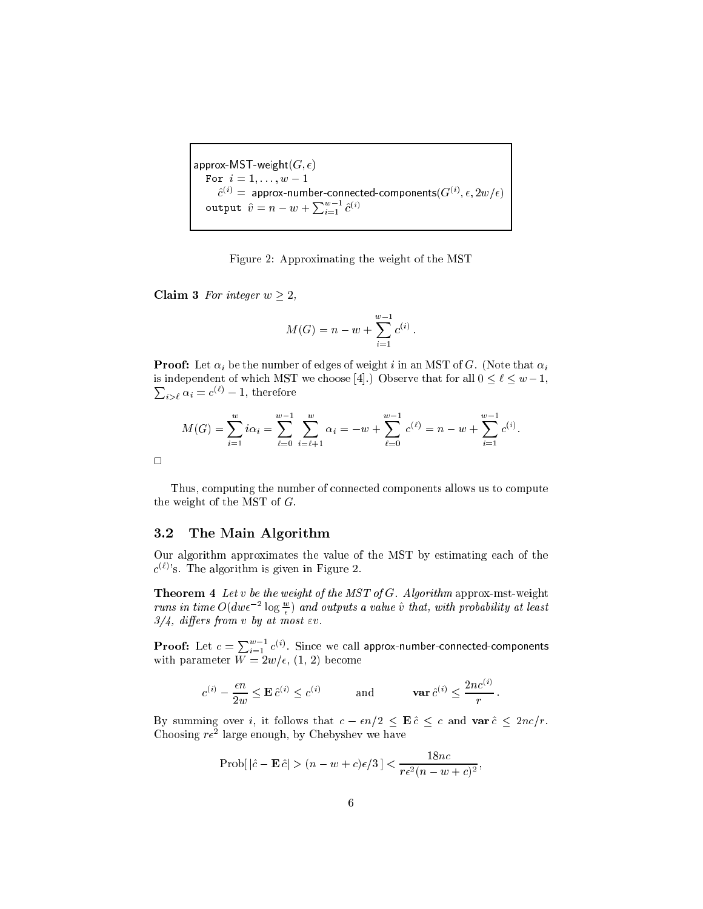```
approx-MST-weight(G, \epsilon)For i=1,\ldots,w-1\hat{c}^{(i)}= approx-number-connected-components(G^{(i)},\epsilon,2w/\epsilon)output \hat{v} = n - w + \sum_{i=1}^{w-1} \hat{c}^{(i)}
```
Figure 2: Approximating the weight of the MST

Claim 3 For integer  $w \geq 2$ ,

$$
M(G) = n - w + \sum_{i=1}^{w-1} c^{(i)}
$$

:

**Proof:** Let  $\alpha_i$  be the number of edges of weight i in an MST of G. (Note that  $\alpha_i$ is independent of which MST we choose [4].) Observe that for all  $0 \leq \ell \leq w-1$ ,  $\sum_{i\geq \ell} \alpha_i = c^{(\ell)} - 1$ , therefore

$$
M(G) = \sum_{i=1}^{w} i\alpha_i = \sum_{\ell=0}^{w-1} \sum_{i=\ell+1}^{w} \alpha_i = -w + \sum_{\ell=0}^{w-1} c^{(\ell)} = n - w + \sum_{i=1}^{w-1} c^{(i)}.
$$

 $\Box$ 

Thus, omputing the number of onne
ted omponents allows us to ompute the weight of the MST of G.

#### 3.2 The Main Algorithm

Our algorithm approximates the value of the MST by estimating ea
h of the  $c^{(\ell)}$ 's. The algorithm is given in Figure 2.

**Theorem 4** Let v be the weight of the MST of  $G$ . Algorithm approx-mst-weight runs in time  $O(dw\epsilon^{-2} \log w)$  and outputs a value  $\hat{v}$  that, with probability at least  $3/4$ , differs from v by at most  $\varepsilon v$ .

**Proof:** Let  $c = \sum_{i=1}^{w-1} c^{(i)}$ . Since we call approx-number-connected-components with parameter  $W = 2w/\epsilon$ , (1, 2) become

$$
c^{(i)} - \frac{\epsilon n}{2w} \le \mathbf{E} \,\hat{c}^{(i)} \le c^{(i)} \qquad \text{and} \qquad \mathbf{var} \,\hat{c}^{(i)} \le \frac{2nc^{(i)}}{r}.
$$

By summing over *i*, it follows that  $c - \epsilon n/2 \leq \mathbf{E} \hat{c} \leq c$  and  $\mathbf{var} \hat{c} \leq 2nc/r$ . Choosing  $r\epsilon^2$  large enough, by Chebyshev we have

$$
\text{Prob}\big[\left|\hat{c} - \mathbf{E}\,\hat{c}\right| > (n - w + c)\epsilon/3\big] < \frac{18nc}{r\epsilon^2(n - w + c)^2},
$$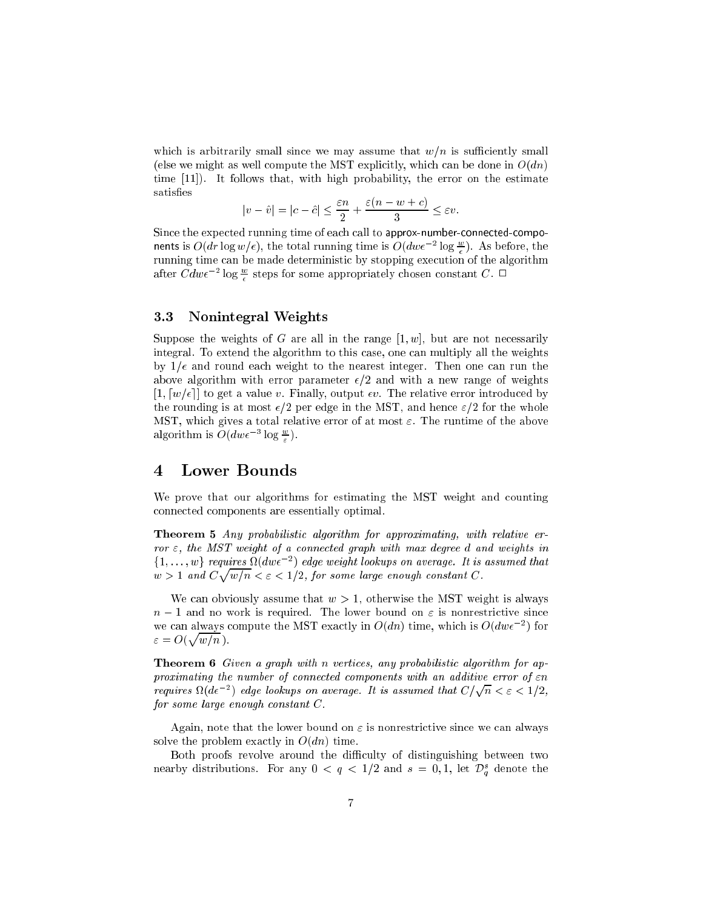which is arbitrarily small since we may assume that  $w/n$  is sufficiently small (else we might as well compute the MST explicitly, which can be done in  $O(dn)$ ) time  $[11]$ . It follows that, with high probability, the error on the estimate satisfies

$$
|v - \hat{v}| = |c - \hat{c}| \le \frac{\varepsilon n}{2} + \frac{\varepsilon (n - w + c)}{3} \le \varepsilon v.
$$

Since the expected running time of each call to approx-number-connected-components is  $O(dr \log w/\epsilon)$ , the total running time is  $O(dw\epsilon^{-2} \log \frac{w}{\epsilon})$ . As before, the running time come to matter accessive to algorithment of the algorithment of the algorithment after  $Cdw\epsilon^{-2}$  log  $\frac{w}{2}$  steps for some appropriately chosen constant  $C$ .  $\Box$ 

### 3.3 Nonintegral Weights

Suppose the weights of G are all in the range  $[1, w]$ , but are not necessarily integral. To extend the algorithm to this case, one can multiply all the weights by  $1/\epsilon$  and round each weight to the nearest integer. Then one can run the above algorithm with error parameter  $\epsilon/2$  and with a new range of weights  $[1, \lceil w/\epsilon \rceil]$  to get a value v. Finally, output  $\epsilon v$ . The relative error introduced by the rounding is at most  $\epsilon/2$  per edge in the MST, and hence  $\epsilon/2$  for the whole MST, which gives a total relative error of at most  $\varepsilon$ . The runtime of the above algorithm is  $O(dw\epsilon^{-3} \log w)$ .

# 4 Lower Bounds

"

We prove that our algorithms for estimating the MST weight and counting onne
ted omponents are essentially optimal.

Theorem 5 Any probabilistic algorithm for approximating, with relative error  $\varepsilon$ , the MST weight of a connected graph with max degree d and weights in  $\{1,\ldots,w\}$  requires  $\Omega(dwe^{-2})$  edge weight lookups on average. It is assumed that  $w>1$  and  $C\sqrt{w/n} < \varepsilon < 1/2$ , for some large enough constant C.

We can obviously assume that  $w > 1$ , otherwise the MST weight is always  $n-1$  and no work is required. The lower bound on  $\varepsilon$  is nonrestrictive since we can always compute the MST exactly in  $O(dn)$  time, which is  $O(dw\epsilon^{-2})$  for  $\varepsilon = O(\sqrt{w/n}).$ 

**Theorem 6** Given a graph with n vertices, any probabilistic algorithm for approximating the number of connected components with an additive error of  $\varepsilon n$ requires  $\Omega(d\epsilon^{-2})$  edge lookups on average. It is assumed that  $C/\sqrt{n} < \varepsilon < 1/2$ ,  $for some large enough constant  $C$ .$ 

Again, note that the lower bound on  $\varepsilon$  is nonrestrictive since we can always solve the problem exactly in  $O(dn)$  time.

Both proofs revolve around the difficulty of distinguishing between two nearby distributions. For any  $0 < q < 1/2$  and  $s = 0, 1$ , let  $\mathcal{D}_{a}^{s}$  denote the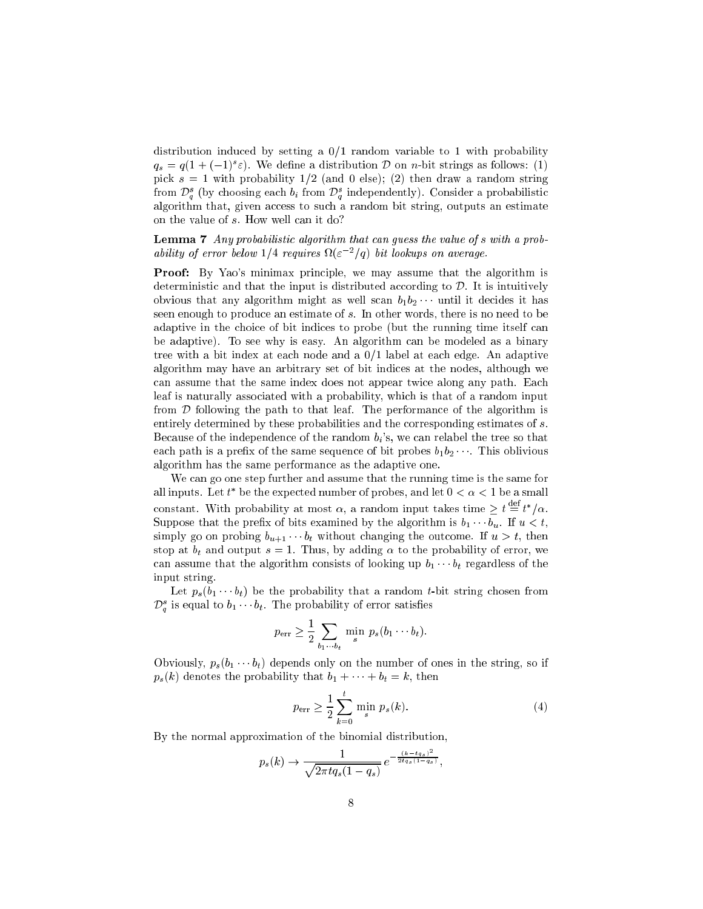distribution indu
ed by setting a 0/1 random variable to 1 with probability  $q_s = q(1 + (-1)^s \varepsilon)$ . We define a distribution  $\nu$  on n-bit strings as follows: (1) pick  $s = 1$  with probability  $1/2$  (and 0 else); (2) then draw a random string from  $\mathcal{D}_{g}^{s}$  (by choosing each  $b_i$  from  $\mathcal{D}_{g}^{s}$  independently). Consider a probabilistic algorithm that, given access to such a random bit string, outputs an estimate on the value of s. How well an it do?

Lemma 7 Any probabilistic algorithm that can guess the value of s with a probability of error below  $1/4$  requires  $\Omega(\varepsilon^{-2}/q)$  bit lookups on average.

**Proof:** By Yao's minimax principle, we may assume that the algorithm is deterministic and that the input is distributed according to  $D$ . It is intuitively obvious that any algorithm might as well scan  $b_1b_2 \cdots$  until it decides it has seen enough to produ
e an estimate of s. In other words, there is no need to be adaptive in the choice of bit indices to probe (but the running time itself can be adaptive). To see why is easy. An algorithm an be modeled as a binary tree with a bit index at each node and a  $0/1$  label at each edge. An adaptive algorithm may have an arbitrary set of bit indi
es at the nodes, although we can assume that the same index does not appear twice along any path. Each leaf is naturally associated with a probability, which is that of a random input from  $D$  following the path to that leaf. The performance of the algorithm is entirely determined by these probabilities and the orresponding estimates of s. Because of the independence of the random  $b_i$ 's, we can relabel the tree so that each path is a prefix of the same sequence of bit probes  $b_1b_2 \cdots$ . This oblivious algorithm has the same performan
e as the adaptive one.

We can go one step further and assume that the running time is the same for all inputs. Let  $t^*$  be the expected number of probes, and let  $0 < \alpha < 1$  be a small constant. With probability at most  $\alpha$ , a random input takes time  $\geq t \stackrel{\text{def}}{=} t^*/\alpha$ . Suppose that the prefix of bits examined by the algorithm is  $b_1 \cdots b_u$ . If  $u < t$ , simply go on probing  $b_{u+1} \cdots b_t$  without changing the outcome. If  $u > t$ , then stop at  $b_t$  and output  $s = 1$ . Thus, by adding  $\alpha$  to the probability of error, we can assume that the algorithm consists of looking up  $b_1 \cdots b_t$  regardless of the input string.

Let  $p_s(b_1 \cdots b_t)$  be the probability that a random t-bit string chosen from  $\mathcal{D}_{a}^{s}$  is equal to  $b_{1}\cdots b_{t}$ . The probability of error satisfies

$$
p_{\text{err}} \geq \frac{1}{2} \sum_{b_1 \cdots b_t} \min_s p_s(b_1 \cdots b_t).
$$

Obviously,  $p_s(b_1 \cdots b_t)$  depends only on the number of ones in the string, so if  $p_s(k)$  denotes the probability that  $b_1 + \cdots + b_t = k$ , then

$$
p_{\text{err}} \ge \frac{1}{2} \sum_{k=0}^{t} \min_{s} p_s(k). \tag{4}
$$

By the normal approximation of the binomial distribution,

$$
p_s(k) \to \frac{1}{\sqrt{2\pi t q_s (1-q_s)}} e^{-\frac{(k-tq_s)^2}{2tq_s(1-q_s)}},
$$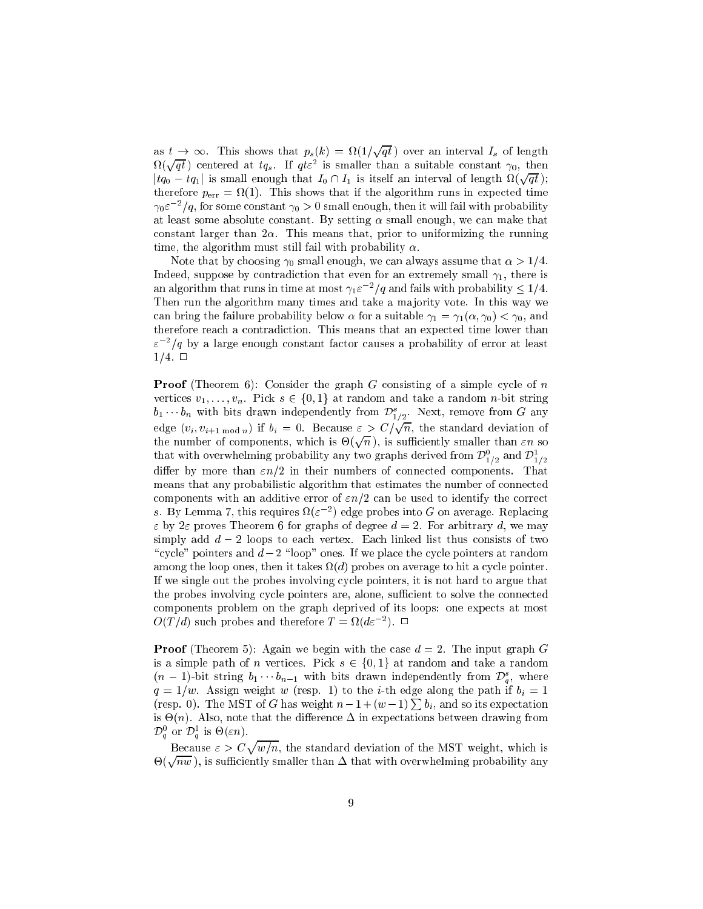as  $t \to \infty$ . This shows that  $p_s(k) = \Omega(1/\sqrt{qt})$  over an interval  $I_s$  of length  $\Omega(\sqrt{qt})$  centered at  $tq_s$ . If  $qt\varepsilon^2$  is smaller than a suitable constant  $\gamma_0$ , then  $|tq_0 - tq_1|$  is small enough that  $I_0 \cap I_1$  is itself an interval of length  $\Omega(\sqrt{qt})$ ; therefore  $p_{\text{err}} = \Omega(1)$ . This shows that if the algorithm runs in expected time  $\gamma_0 \varepsilon^{-2}/q$ , for some constant  $\gamma_0 > 0$  small enough, then it will fail with probability at least some absolute constant. By setting  $\alpha$  small enough, we can make that constant larger than  $2\alpha$ . This means that, prior to uniformizing the running time, the algorithm must still fail with probability  $\alpha$ .

Note that by choosing  $\gamma_0$  small enough, we can always assume that  $\alpha > 1/4$ . Indeed, suppose by contradiction that even for an extremely small  $\gamma_1$ , there is an algorithm that runs in time at most  $\gamma_1 \varepsilon^{-2}/q$  and fails with probability  $\leq 1/4$ . Then run the algorithm many times and take a majority vote. In this way we can bring the failure probability below  $\alpha$  for a suitable  $\gamma_1 = \gamma_1(\alpha, \gamma_0) < \gamma_0$ , and therefore rea
h a ontradi
tion. This means that an expe
ted time lower than  $\varepsilon^{-2}/q$  by a large enough constant factor causes a probability of error at least  $1/4. \Box$ 

**Proof** (Theorem 6): Consider the graph G consisting of a simple cycle of  $n$ vertices  $v_1, \ldots, v_n$ . Pick  $s \in \{0,1\}$  at random and take a random *n*-bit string  $b_1 \cdots b_n$  with bits drawn independently from  ${\mathcal D}_{1/2}^s$ . Next, remove from  $G$  any edge  $(v_i, v_{i+1 \mod n})$  if  $b_i = 0$ . Because  $\varepsilon > C/\sqrt{n}$ , the standard deviation of the number of components, which is  $\Theta(\sqrt{n})$ , is sufficiently smaller than  $\varepsilon n$  so that with overwhelming probability any two graphs derived from  $\nu_{1/2}$  and  $\nu_{1}$  $-1$ differ by more than  $\epsilon n/2$  in their numbers of connected components. That means that any probabilistic algorithm that estimates the number of connected components with an additive error of  $\epsilon n/2$  can be used to identify the correct s. By Lemma 7, this requires  $\Omega(\varepsilon^{-2})$  edge probes into G on average. Replacing  $\varepsilon$  by  $2\varepsilon$  proves Theorem 6 for graphs of degree  $d = 2$ . For arbitrary d, we may simply add  $d-2$  loops to each vertex. Each linked list thus consists of two "cycle" pointers and  $d-2$  "loop" ones. If we place the cycle pointers at random among the loop ones, then it takes  $\Omega(d)$  probes on average to hit a cycle pointer. If we single out the probes involving cycle pointers, it is not hard to argue that the probes involving cycle pointers are, alone, sufficient to solve the connected omponents problem on the graph deprived of its loops: one expe
ts at most  $O(T/d)$  such probes and therefore  $T = \Omega(d\varepsilon^{-2})$ .  $\Box$ 

**Proof** (Theorem 5): Again we begin with the case  $d = 2$ . The input graph G is a simple path of *n* vertices. Pick  $s \in \{0,1\}$  at random and take a random  $(n-1)$ -bit string  $b_1 \cdots b_{n-1}$  with bits drawn independently from  $\mathcal{D}_{a}^s$ , where  $q = 1/w$ . Assign weight w (resp. 1) to the *i*-th edge along the path if  $b_i = 1$ (resp. 0). The MST of G has weight  $n-1+(w-1)\sum b_i$ , and so its expectation is  $\Theta(n)$ . Also, note that the difference  $\Delta$  in expectations between drawing from  $D_a^{\circ}$  or  $D_a^{\circ}$  is  $\Theta(\varepsilon n)$ .

Because  $\varepsilon > C\sqrt{w/n}$ , the standard deviation of the MST weight, which is  $\Theta(\sqrt{nw})$ , is sufficiently smaller than  $\Delta$  that with overwhelming probability any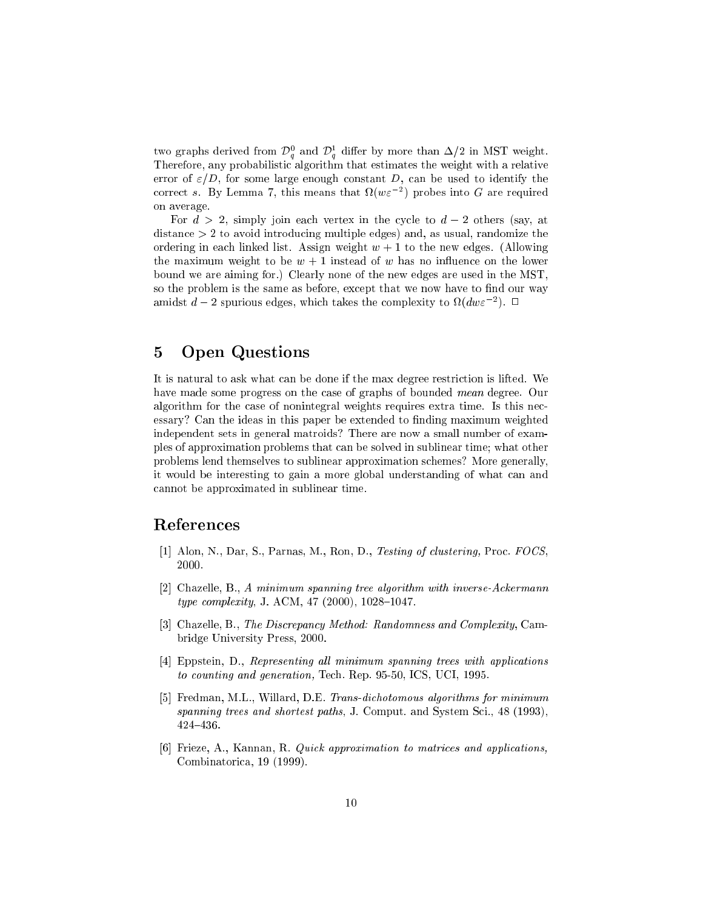two graphs derived from  ${\cal D}^0_a$  and  ${\cal D}^1_a$  differ by more than  $\Delta/2$  in MST weight. Therefore, any probabilistic algorithm that estimates the weight with a relative error of  $\varepsilon/D$ , for some large enough constant D, can be used to identify the correct s. By Lemma 7, this means that  $\Omega(w\varepsilon^{-2})$  probes into G are required on average.

For  $d > 2$ , simply join each vertex in the cycle to  $d - 2$  others (say, at distan
e > 2 to avoid introdu
ing multiple edges) and, as usual, randomize the ordering in each linked list. Assign weight  $w + 1$  to the new edges. (Allowing the maximum weight to be  $w + 1$  instead of w has no influence on the lower bound we are aiming for.) Clearly none of the new edges are used in the MST, so the problem is the same as before, except that we now have to find our way amidst  $d-2$  spurious edges, which takes the complexity to  $\Omega(dwe^{-2})$ .  $\Box$ 

# 5 Open Questions

It is natural to ask what an be done if the max degree restri
tion is lifted. We have made some progress on the case of graphs of bounded mean degree. Our algorithm for the case of nonintegral weights requires extra time. Is this necessary? Can the ideas in this paper be extended to finding maximum weighted independent sets in general matroids? There are now a small number of examples of approximation problems that an be solved in sublinear time; what other problems lend themselves to sublinear approximation s
hemes? More generally, it would be interesting to gain a more global understanding of what an and annot be approximated in sublinear time.

# Referen
es

- [1] Alon, N., Dar, S., Parnas, M., Ron, D., Testing of clustering, Proc. FOCS. 2000.
- [2] Chazelle, B., A minimum spanning tree algorithm with inverse-Ackermann  $type\ complexity, J. ACM, 47 (2000), 1028–1047.$
- [3] Chazelle, B., The Discrepancy Method: Randomness and Complexity, Cambridge University Press, 2000.
- [4] Eppstein, D., Representing all minimum spanning trees with applications to counting and generation, Tech. Rep. 95-50, ICS, UCI, 1995.
- [5] Fredman, M.L., Willard, D.E. Trans-dichotomous algorithms for minimum spanning trees and shortest paths, J. Comput. and System Sci., 48 (1993), 424-436.
- [6] Frieze, A., Kannan, R. *Quick approximation to matrices and applications*, Combinatori
a, 19 (1999).